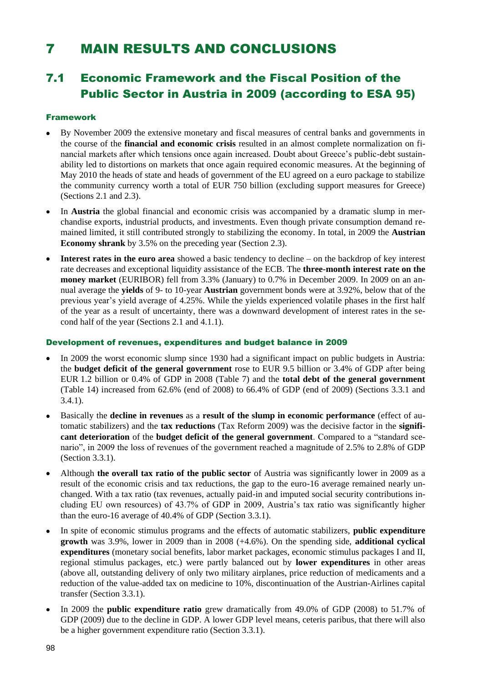# 7 MAIN RESULTS AND CONCLUSIONS

## 7.1 Economic Framework and the Fiscal Position of the Public Sector in Austria in 2009 (according to ESA 95)

### Framework

- By November 2009 the extensive monetary and fiscal measures of central banks and governments in the course of the **financial and economic crisis** resulted in an almost complete normalization on financial markets after which tensions once again increased. Doubt about Greece's public-debt sustainability led to distortions on markets that once again required economic measures. At the beginning of May 2010 the heads of state and heads of government of the EU agreed on a euro package to stabilize the community currency worth a total of EUR 750 billion (excluding support measures for Greece) (Sections 2.1 and 2.3).
- $\bullet$ In **Austria** the global financial and economic crisis was accompanied by a dramatic slump in merchandise exports, industrial products, and investments. Even though private consumption demand remained limited, it still contributed strongly to stabilizing the economy. In total, in 2009 the **Austrian Economy shrank** by 3.5% on the preceding year (Section 2.3).
- **Interest rates in the euro area** showed a basic tendency to decline on the backdrop of key interest rate decreases and exceptional liquidity assistance of the ECB. The **three-month interest rate on the money market** (EURIBOR) fell from 3.3% (January) to 0.7% in December 2009. In 2009 on an annual average the **yields** of 9- to 10-year **Austrian** government bonds were at 3.92%, below that of the previous year's yield average of 4.25%. While the yields experienced volatile phases in the first half of the year as a result of uncertainty, there was a downward development of interest rates in the second half of the year (Sections 2.1 and 4.1.1).

### Development of revenues, expenditures and budget balance in 2009

- In 2009 the worst economic slump since 1930 had a significant impact on public budgets in Austria: the **budget deficit of the general government** rose to EUR 9.5 billion or 3.4% of GDP after being EUR 1.2 billion or 0.4% of GDP in 2008 (Table 7) and the **total debt of the general government** (Table 14) increased from 62.6% (end of 2008) to 66.4% of GDP (end of 2009) (Sections 3.3.1 and 3.4.1).
- Basically the **decline in revenues** as a **result of the slump in economic performance** (effect of automatic stabilizers) and the **tax reductions** (Tax Reform 2009) was the decisive factor in the **significant deterioration** of the **budget deficit of the general government**. Compared to a "standard scenario", in 2009 the loss of revenues of the government reached a magnitude of 2.5% to 2.8% of GDP (Section 3.3.1).
- Although **the overall tax ratio of the public sector** of Austria was significantly lower in 2009 as a result of the economic crisis and tax reductions, the gap to the euro-16 average remained nearly unchanged. With a tax ratio (tax revenues, actually paid-in and imputed social security contributions including EU own resources) of 43.7% of GDP in 2009, Austria's tax ratio was significantly higher than the euro-16 average of 40.4% of GDP (Section 3.3.1).
- In spite of economic stimulus programs and the effects of automatic stabilizers, **public expenditure growth** was 3.9%, lower in 2009 than in 2008 (+4.6%). On the spending side, **additional cyclical expenditures** (monetary social benefits, labor market packages, economic stimulus packages I and II, regional stimulus packages, etc.) were partly balanced out by **lower expenditures** in other areas (above all, outstanding delivery of only two military airplanes, price reduction of medicaments and a reduction of the value-added tax on medicine to 10%, discontinuation of the Austrian-Airlines capital transfer (Section 3.3.1).
- In 2009 the **public expenditure ratio** grew dramatically from 49.0% of GDP (2008) to 51.7% of GDP (2009) due to the decline in GDP. A lower GDP level means, ceteris paribus, that there will also be a higher government expenditure ratio (Section 3.3.1).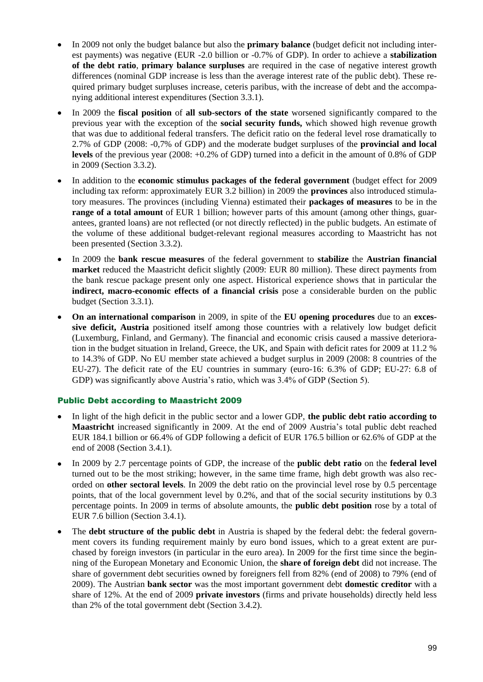- In 2009 not only the budget balance but also the **primary balance** (budget deficit not including interest payments) was negative (EUR -2.0 billion or -0.7% of GDP). In order to achieve a **stabilization of the debt ratio**, **primary balance surpluses** are required in the case of negative interest growth differences (nominal GDP increase is less than the average interest rate of the public debt). These required primary budget surpluses increase, ceteris paribus, with the increase of debt and the accompanying additional interest expenditures (Section 3.3.1).
- In 2009 the **fiscal position** of **all sub-sectors of the state** worsened significantly compared to the previous year with the exception of the **social security funds,** which showed high revenue growth that was due to additional federal transfers. The deficit ratio on the federal level rose dramatically to 2.7% of GDP (2008: -0,7% of GDP) and the moderate budget surpluses of the **provincial and local levels** of the previous year (2008: +0.2% of GDP) turned into a deficit in the amount of 0.8% of GDP in 2009 (Section 3.3.2).
- In addition to the **economic stimulus packages of the federal government** (budget effect for 2009 including tax reform: approximately EUR 3.2 billion) in 2009 the **provinces** also introduced stimulatory measures. The provinces (including Vienna) estimated their **packages of measures** to be in the **range of a total amount** of EUR 1 billion; however parts of this amount (among other things, guarantees, granted loans) are not reflected (or not directly reflected) in the public budgets. An estimate of the volume of these additional budget-relevant regional measures according to Maastricht has not been presented (Section 3.3.2).
- In 2009 the **bank rescue measures** of the federal government to **stabilize** the **Austrian financial market** reduced the Maastricht deficit slightly (2009: EUR 80 million). These direct payments from the bank rescue package present only one aspect. Historical experience shows that in particular the **indirect, macro-economic effects of a financial crisis** pose a considerable burden on the public budget (Section 3.3.1).
- **On an international comparison** in 2009, in spite of the **EU opening procedures** due to an **excessive deficit, Austria** positioned itself among those countries with a relatively low budget deficit (Luxemburg, Finland, and Germany). The financial and economic crisis caused a massive deterioration in the budget situation in Ireland, Greece, the UK, and Spain with deficit rates for 2009 at 11.2 % to 14.3% of GDP. No EU member state achieved a budget surplus in 2009 (2008: 8 countries of the EU-27). The deficit rate of the EU countries in summary (euro-16: 6.3% of GDP; EU-27: 6.8 of GDP) was significantly above Austria's ratio, which was 3.4% of GDP (Section 5).

## Public Debt according to Maastricht 2009

- In light of the high deficit in the public sector and a lower GDP, **the public debt ratio according to Maastricht** increased significantly in 2009. At the end of 2009 Austria's total public debt reached EUR 184.1 billion or 66.4% of GDP following a deficit of EUR 176.5 billion or 62.6% of GDP at the end of 2008 (Section 3.4.1).
- In 2009 by 2.7 percentage points of GDP, the increase of the **public debt ratio** on the **federal level** turned out to be the most striking; however, in the same time frame, high debt growth was also recorded on **other sectoral levels**. In 2009 the debt ratio on the provincial level rose by 0.5 percentage points, that of the local government level by 0.2%, and that of the social security institutions by 0.3 percentage points. In 2009 in terms of absolute amounts, the **public debt position** rose by a total of EUR 7.6 billion (Section 3.4.1).
- The **debt structure of the public debt** in Austria is shaped by the federal debt: the federal government covers its funding requirement mainly by euro bond issues, which to a great extent are purchased by foreign investors (in particular in the euro area). In 2009 for the first time since the beginning of the European Monetary and Economic Union, the **share of foreign debt** did not increase. The share of government debt securities owned by foreigners fell from 82% (end of 2008) to 79% (end of 2009). The Austrian **bank sector** was the most important government debt **domestic creditor** with a share of 12%. At the end of 2009 **private investors** (firms and private households) directly held less than 2% of the total government debt (Section 3.4.2).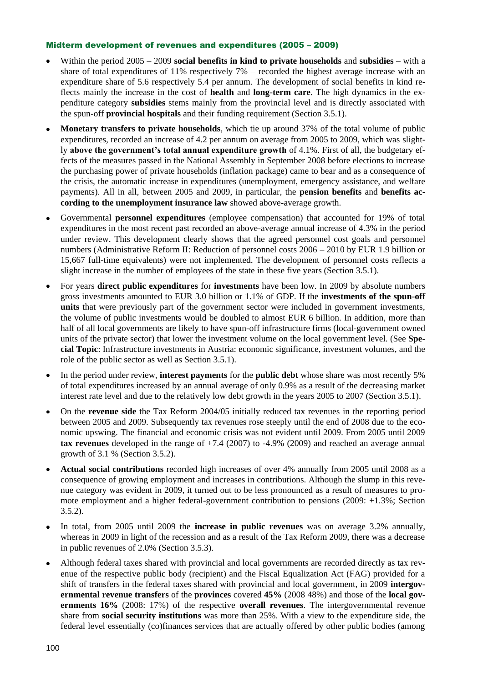### Midterm development of revenues and expenditures (2005 – 2009)

- Within the period 2005 2009 **social benefits in kind to private households** and **subsidies** with a share of total expenditures of 11% respectively 7% – recorded the highest average increase with an expenditure share of 5.6 respectively 5.4 per annum. The development of social benefits in kind reflects mainly the increase in the cost of **health** and **long-term care**. The high dynamics in the expenditure category **subsidies** stems mainly from the provincial level and is directly associated with the spun-off **provincial hospitals** and their funding requirement (Section 3.5.1).
- **Monetary transfers to private households**, which tie up around 37% of the total volume of public expenditures, recorded an increase of 4.2 per annum on average from 2005 to 2009, which was slightly **above the government's total annual expenditure growth** of 4.1%. First of all, the budgetary effects of the measures passed in the National Assembly in September 2008 before elections to increase the purchasing power of private households (inflation package) came to bear and as a consequence of the crisis, the automatic increase in expenditures (unemployment, emergency assistance, and welfare payments). All in all, between 2005 and 2009, in particular, the **pension benefits** and **benefits according to the unemployment insurance law** showed above-average growth.
- Governmental **personnel expenditures** (employee compensation) that accounted for 19% of total expenditures in the most recent past recorded an above-average annual increase of 4.3% in the period under review. This development clearly shows that the agreed personnel cost goals and personnel numbers (Administrative Reform II: Reduction of personnel costs 2006 – 2010 by EUR 1.9 billion or 15,667 full-time equivalents) were not implemented. The development of personnel costs reflects a slight increase in the number of employees of the state in these five years (Section 3.5.1).
- For years **direct public expenditures** for **investments** have been low. In 2009 by absolute numbers gross investments amounted to EUR 3.0 billion or 1.1% of GDP. If the **investments of the spun-off units** that were previously part of the government sector were included in government investments, the volume of public investments would be doubled to almost EUR 6 billion. In addition, more than half of all local governments are likely to have spun-off infrastructure firms (local-government owned units of the private sector) that lower the investment volume on the local government level. (See **Special Topic**: Infrastructure investments in Austria: economic significance, investment volumes, and the role of the public sector as well as Section 3.5.1).
- In the period under review, **interest payments** for the **public debt** whose share was most recently 5% of total expenditures increased by an annual average of only 0.9% as a result of the decreasing market interest rate level and due to the relatively low debt growth in the years 2005 to 2007 (Section 3.5.1).
- On the **revenue side** the Tax Reform 2004/05 initially reduced tax revenues in the reporting period between 2005 and 2009. Subsequently tax revenues rose steeply until the end of 2008 due to the economic upswing. The financial and economic crisis was not evident until 2009. From 2005 until 2009 **tax revenues** developed in the range of +7.4 (2007) to -4.9% (2009) and reached an average annual growth of 3.1 % (Section 3.5.2).
- **Actual social contributions** recorded high increases of over 4% annually from 2005 until 2008 as a consequence of growing employment and increases in contributions. Although the slump in this revenue category was evident in 2009, it turned out to be less pronounced as a result of measures to promote employment and a higher federal-government contribution to pensions (2009: +1.3%; Section 3.5.2).
- In total, from 2005 until 2009 the **increase in public revenues** was on average 3.2% annually, whereas in 2009 in light of the recession and as a result of the Tax Reform 2009, there was a decrease in public revenues of 2.0% (Section 3.5.3).
- Although federal taxes shared with provincial and local governments are recorded directly as tax revenue of the respective public body (recipient) and the Fiscal Equalization Act (FAG) provided for a shift of transfers in the federal taxes shared with provincial and local government, in 2009 **intergovernmental revenue transfers** of the **provinces** covered **45%** (2008 48%) and those of the **local governments 16%** (2008: 17%) of the respective **overall revenues**. The intergovernmental revenue share from **social security institutions** was more than 25%. With a view to the expenditure side, the federal level essentially (co)finances services that are actually offered by other public bodies (among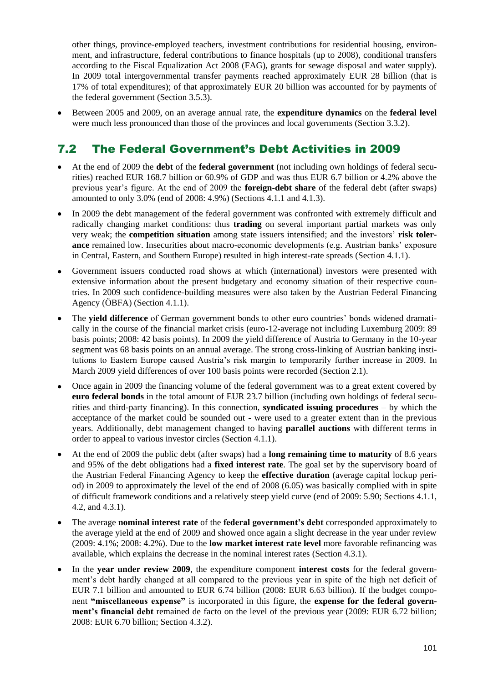other things, province-employed teachers, investment contributions for residential housing, environment, and infrastructure, federal contributions to finance hospitals (up to 2008), conditional transfers according to the Fiscal Equalization Act 2008 (FAG), grants for sewage disposal and water supply). In 2009 total intergovernmental transfer payments reached approximately EUR 28 billion (that is 17% of total expenditures); of that approximately EUR 20 billion was accounted for by payments of the federal government (Section 3.5.3).

Between 2005 and 2009, on an average annual rate, the **expenditure dynamics** on the **federal level** were much less pronounced than those of the provinces and local governments (Section 3.3.2).

# 7.2 The Federal Government's Debt Activities in 2009

- At the end of 2009 the **debt** of the **federal government** (not including own holdings of federal securities) reached EUR 168.7 billion or 60.9% of GDP and was thus EUR 6.7 billion or 4.2% above the previous year's figure. At the end of 2009 the **foreign-debt share** of the federal debt (after swaps) amounted to only 3.0% (end of 2008: 4.9%) (Sections 4.1.1 and 4.1.3).
- In 2009 the debt management of the federal government was confronted with extremely difficult and radically changing market conditions: thus **trading** on several important partial markets was only very weak; the **competition situation** among state issuers intensified; and the investors' **risk tolerance** remained low. Insecurities about macro-economic developments (e.g. Austrian banks' exposure in Central, Eastern, and Southern Europe) resulted in high interest-rate spreads (Section 4.1.1).
- Government issuers conducted road shows at which (international) investors were presented with extensive information about the present budgetary and economy situation of their respective countries. In 2009 such confidence-building measures were also taken by the Austrian Federal Financing Agency (ÖBFA) (Section 4.1.1).
- The **yield difference** of German government bonds to other euro countries' bonds widened dramatically in the course of the financial market crisis (euro-12-average not including Luxemburg 2009: 89 basis points; 2008: 42 basis points). In 2009 the yield difference of Austria to Germany in the 10-year segment was 68 basis points on an annual average. The strong cross-linking of Austrian banking institutions to Eastern Europe caused Austria's risk margin to temporarily further increase in 2009. In March 2009 yield differences of over 100 basis points were recorded (Section 2.1).
- Once again in 2009 the financing volume of the federal government was to a great extent covered by **euro federal bonds** in the total amount of EUR 23.7 billion (including own holdings of federal securities and third-party financing). In this connection, **syndicated issuing procedures** – by which the acceptance of the market could be sounded out - were used to a greater extent than in the previous years. Additionally, debt management changed to having **parallel auctions** with different terms in order to appeal to various investor circles (Section 4.1.1).
- At the end of 2009 the public debt (after swaps) had a **long remaining time to maturity** of 8.6 years and 95% of the debt obligations had a **fixed interest rate**. The goal set by the supervisory board of the Austrian Federal Financing Agency to keep the **effective duration** (average capital lockup period) in 2009 to approximately the level of the end of 2008 (6.05) was basically complied with in spite of difficult framework conditions and a relatively steep yield curve (end of 2009: 5.90; Sections 4.1.1, 4.2, and 4.3.1).
- The average **nominal interest rate** of the **federal government's debt** corresponded approximately to the average yield at the end of 2009 and showed once again a slight decrease in the year under review (2009: 4.1%; 2008: 4.2%). Due to the **low market interest rate level** more favorable refinancing was available, which explains the decrease in the nominal interest rates (Section 4.3.1).
- In the **year under review 2009**, the expenditure component **interest costs** for the federal government's debt hardly changed at all compared to the previous year in spite of the high net deficit of EUR 7.1 billion and amounted to EUR 6.74 billion (2008: EUR 6.63 billion). If the budget component **"miscellaneous expense"** is incorporated in this figure, the **expense for the federal government's financial debt** remained de facto on the level of the previous year (2009: EUR 6.72 billion; 2008: EUR 6.70 billion; Section 4.3.2).